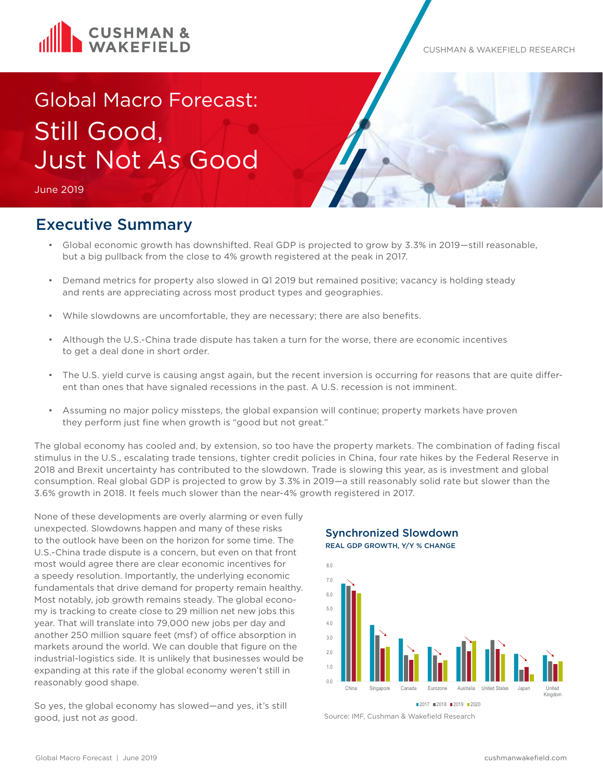

#### CUSHMAN & WAKEFIELD RESEARCH

# Global Macro Forecast: Still Good, Just Not *As* Good

June 2019

# Executive Summary

- Global economic growth has downshifted. Real GDP is projected to grow by 3.3% in 2019—still reasonable, but a big pullback from the close to 4% growth registered at the peak in 2017.
- Demand metrics for property also slowed in Q1 2019 but remained positive; vacancy is holding steady and rents are appreciating across most product types and geographies.
- While slowdowns are uncomfortable, they are necessary; there are also benefits.
- Although the U.S.-China trade dispute has taken a turn for the worse, there are economic incentives to get a deal done in short order.
- The U.S. yield curve is causing angst again, but the recent inversion is occurring for reasons that are quite different than ones that have signaled recessions in the past. A U.S. recession is not imminent.
- Assuming no major policy missteps, the global expansion will continue; property markets have proven they perform just fine when growth is "good but not great."

The global economy has cooled and, by extension, so too have the property markets. The combination of fading fiscal stimulus in the U.S., escalating trade tensions, tighter credit policies in China, four rate hikes by the Federal Reserve in 2018 and Brexit uncertainty has contributed to the slowdown. Trade is slowing this year, as is investment and global consumption. Real global GDP is projected to grow by 3.3% in 2019—a still reasonably solid rate but slower than the 3.6% growth in 2018. It feels much slower than the near-4% growth registered in 2017.

None of these developments are overly alarming or even fully unexpected. Slowdowns happen and many of these risks to the outlook have been on the horizon for some time. The U.S.-China trade dispute is a concern, but even on that front most would agree there are clear economic incentives for a speedy resolution. Importantly, the underlying economic fundamentals that drive demand for property remain healthy. Most notably, job growth remains steady. The global economy is tracking to create close to 29 million net new jobs this year. That will translate into 79,000 new jobs per day and another 250 million square feet (msf) of office absorption in markets around the world. We can double that figure on the industrial-logistics side. It is unlikely that businesses would be expanding at this rate if the global economy weren't still in reasonably good shape.

So yes, the global economy has slowed—and yes, it's still good, just not *as* good.

Synchronized Slowdown REAL GDP GROWTH, Y/Y % CHANGE



Source: IMF, Cushman & Wakefield Research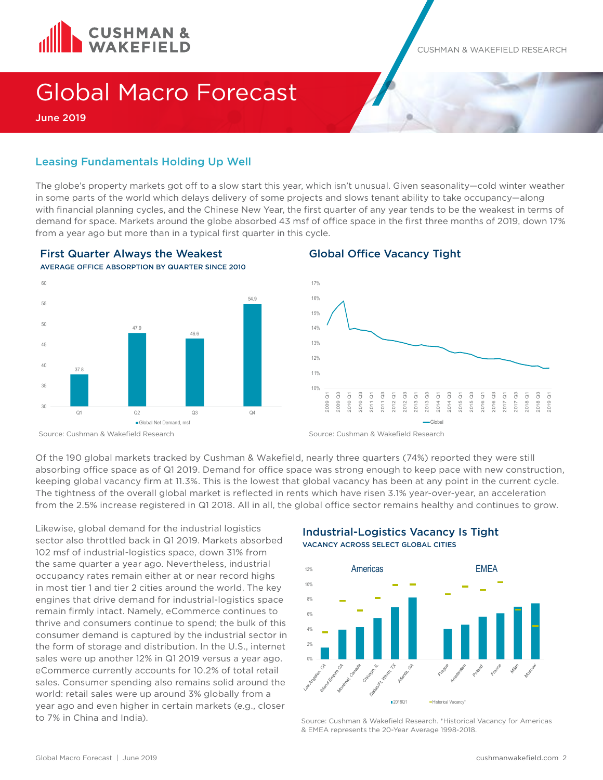

CUSHMAN & WAKEFIELD RESEARCH

# Global Macro Forecast

June 2019

### Leasing Fundamentals Holding Up Well

The globe's property markets got off to a slow start this year, which isn't unusual. Given seasonality—cold winter weather in some parts of the world which delays delivery of some projects and slows tenant ability to take occupancy—along with financial planning cycles, and the Chinese New Year, the first quarter of any year tends to be the weakest in terms of demand for space. Markets around the globe absorbed 43 msf of office space in the first three months of 2019, down 17% from a year ago but more than in a typical first quarter in this cycle.



#### First Quarter Always the Weakest AVERAGE OFFICE ABSORPTION BY QUARTER SINCE 2010

#### Global Office Vacancy Tight



Source: Cushman & Wakefield Research

Source: Cushman & Wakefield Research

Of the 190 global markets tracked by Cushman & Wakefield, nearly three quarters (74%) reported they were still absorbing office space as of Q1 2019. Demand for office space was strong enough to keep pace with new construction, keeping global vacancy firm at 11.3%. This is the lowest that global vacancy has been at any point in the current cycle. The tightness of the overall global market is reflected in rents which have risen 3.1% year-over-year, an acceleration from the 2.5% increase registered in Q1 2018. All in all, the global office sector remains healthy and continues to grow.

Likewise, global demand for the industrial logistics sector also throttled back in Q1 2019. Markets absorbed 102 msf of industrial-logistics space, down 31% from the same quarter a year ago. Nevertheless, industrial occupancy rates remain either at or near record highs in most tier 1 and tier 2 cities around the world. The key engines that drive demand for industrial-logistics space remain firmly intact. Namely, eCommerce continues to thrive and consumers continue to spend; the bulk of this consumer demand is captured by the industrial sector in the form of storage and distribution. In the U.S., internet sales were up another 12% in Q1 2019 versus a year ago. eCommerce currently accounts for 10.2% of total retail sales. Consumer spending also remains solid around the world: retail sales were up around 3% globally from a year ago and even higher in certain markets (e.g., closer to 7% in China and India).

#### Industrial-Logistics Vacancy Is Tight VACANCY ACROSS SELECT GLOBAL CITIES



Source: Cushman & Wakefield Research. \*Historical Vacancy for Americas & EMEA represents the 20-Year Average 1998-2018.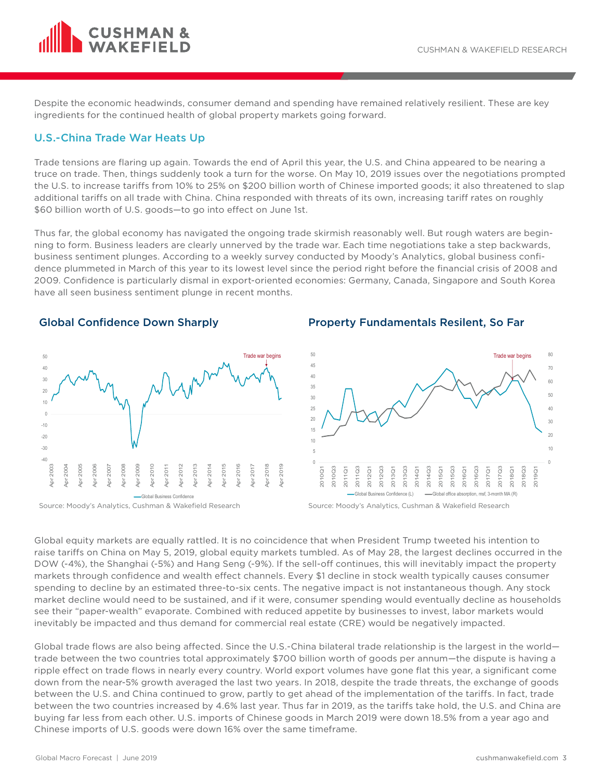

Despite the economic headwinds, consumer demand and spending have remained relatively resilient. These are key ingredients for the continued health of global property markets going forward.

#### U.S.-China Trade War Heats Up

Trade tensions are flaring up again. Towards the end of April this year, the U.S. and China appeared to be nearing a truce on trade. Then, things suddenly took a turn for the worse. On May 10, 2019 issues over the negotiations prompted the U.S. to increase tariffs from 10% to 25% on \$200 billion worth of Chinese imported goods; it also threatened to slap additional tariffs on all trade with China. China responded with threats of its own, increasing tariff rates on roughly \$60 billion worth of U.S. goods—to go into effect on June 1st.

Thus far, the global economy has navigated the ongoing trade skirmish reasonably well. But rough waters are beginning to form. Business leaders are clearly unnerved by the trade war. Each time negotiations take a step backwards, business sentiment plunges. According to a weekly survey conducted by Moody's Analytics, global business confidence plummeted in March of this year to its lowest level since the period right before the financial crisis of 2008 and 2009. Confidence is particularly dismal in export-oriented economies: Germany, Canada, Singapore and South Korea have all seen business sentiment plunge in recent months.

#### Global Confidence Down Sharply



Source: Moody's Analytics, Cushman & Wakefield Research

#### Property Fundamentals Resilent, So Far



Source: Moody's Analytics, Cushman & Wakefield Research

Global equity markets are equally rattled. It is no coincidence that when President Trump tweeted his intention to raise tariffs on China on May 5, 2019, global equity markets tumbled. As of May 28, the largest declines occurred in the DOW (-4%), the Shanghai (-5%) and Hang Seng (-9%). If the sell-off continues, this will inevitably impact the property markets through confidence and wealth effect channels. Every \$1 decline in stock wealth typically causes consumer spending to decline by an estimated three-to-six cents. The negative impact is not instantaneous though. Any stock market decline would need to be sustained, and if it were, consumer spending would eventually decline as households see their "paper-wealth" evaporate. Combined with reduced appetite by businesses to invest, labor markets would inevitably be impacted and thus demand for commercial real estate (CRE) would be negatively impacted.

Global trade flows are also being affected. Since the U.S.-China bilateral trade relationship is the largest in the world trade between the two countries total approximately \$700 billion worth of goods per annum—the dispute is having a ripple effect on trade flows in nearly every country. World export volumes have gone flat this year, a significant come down from the near-5% growth averaged the last two years. In 2018, despite the trade threats, the exchange of goods between the U.S. and China continued to grow, partly to get ahead of the implementation of the tariffs. In fact, trade between the two countries increased by 4.6% last year. Thus far in 2019, as the tariffs take hold, the U.S. and China are buying far less from each other. U.S. imports of Chinese goods in March 2019 were down 18.5% from a year ago and Chinese imports of U.S. goods were down 16% over the same timeframe.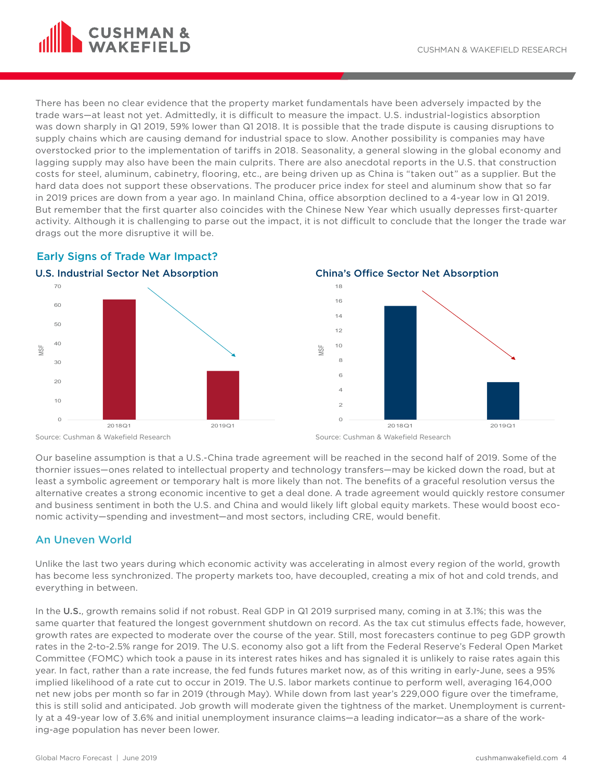

There has been no clear evidence that the property market fundamentals have been adversely impacted by the trade wars—at least not yet. Admittedly, it is difficult to measure the impact. U.S. industrial-logistics absorption was down sharply in Q1 2019, 59% lower than Q1 2018. It is possible that the trade dispute is causing disruptions to supply chains which are causing demand for industrial space to slow. Another possibility is companies may have overstocked prior to the implementation of tariffs in 2018. Seasonality, a general slowing in the global economy and lagging supply may also have been the main culprits. There are also anecdotal reports in the U.S. that construction costs for steel, aluminum, cabinetry, flooring, etc., are being driven up as China is "taken out" as a supplier. But the hard data does not support these observations. The producer price index for steel and aluminum show that so far in 2019 prices are down from a year ago. In mainland China, office absorption declined to a 4-year low in Q1 2019. But remember that the first quarter also coincides with the Chinese New Year which usually depresses first-quarter activity. Although it is challenging to parse out the impact, it is not difficult to conclude that the longer the trade war drags out the more disruptive it will be.









Our baseline assumption is that a U.S.-China trade agreement will be reached in the second half of 2019. Some of the thornier issues—ones related to intellectual property and technology transfers—may be kicked down the road, but at least a symbolic agreement or temporary halt is more likely than not. The benefits of a graceful resolution versus the alternative creates a strong economic incentive to get a deal done. A trade agreement would quickly restore consumer and business sentiment in both the U.S. and China and would likely lift global equity markets. These would boost economic activity—spending and investment—and most sectors, including CRE, would benefit.

## An Uneven World

Unlike the last two years during which economic activity was accelerating in almost every region of the world, growth has become less synchronized. The property markets too, have decoupled, creating a mix of hot and cold trends, and everything in between.

In the U.S., growth remains solid if not robust. Real GDP in Q1 2019 surprised many, coming in at 3.1%; this was the same quarter that featured the longest government shutdown on record. As the tax cut stimulus effects fade, however, growth rates are expected to moderate over the course of the year. Still, most forecasters continue to peg GDP growth rates in the 2-to-2.5% range for 2019. The U.S. economy also got a lift from the Federal Reserve's Federal Open Market Committee (FOMC) which took a pause in its interest rates hikes and has signaled it is unlikely to raise rates again this year. In fact, rather than a rate increase, the fed funds futures market now, as of this writing in early-June, sees a 95% implied likelihood of a rate cut to occur in 2019. The U.S. labor markets continue to perform well, averaging 164,000 net new jobs per month so far in 2019 (through May). While down from last year's 229,000 figure over the timeframe, this is still solid and anticipated. Job growth will moderate given the tightness of the market. Unemployment is currently at a 49-year low of 3.6% and initial unemployment insurance claims—a leading indicator—as a share of the working-age population has never been lower.

Source: Cushman & Wakefield Research

Source: Cushman & Wakefield Research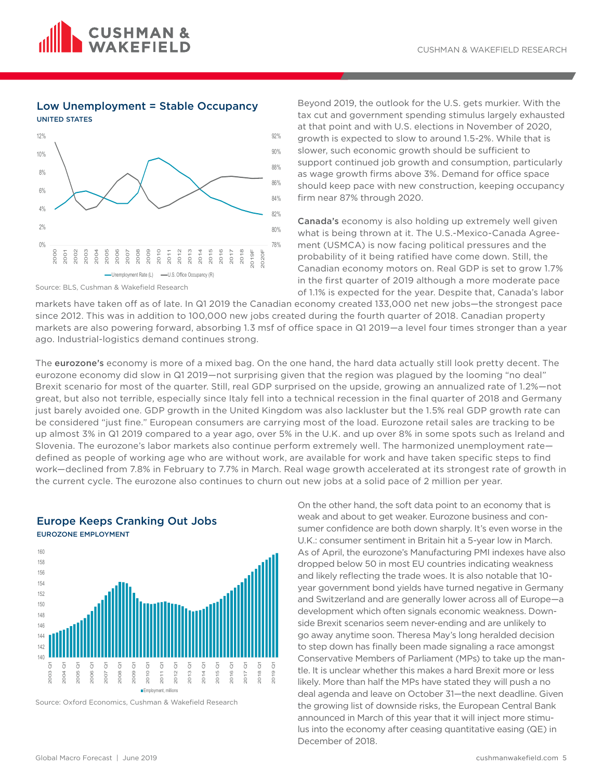

#### Low Unemployment = Stable Occupancy UNITED STATES



Source: BLS, Cushman & Wakefield Research

Beyond 2019, the outlook for the U.S. gets murkier. With the tax cut and government spending stimulus largely exhausted at that point and with U.S. elections in November of 2020, growth is expected to slow to around 1.5-2%. While that is slower, such economic growth should be sufficient to support continued job growth and consumption, particularly as wage growth firms above 3%. Demand for office space should keep pace with new construction, keeping occupancy firm near 87% through 2020.

Canada's economy is also holding up extremely well given what is being thrown at it. The U.S.-Mexico-Canada Agreement (USMCA) is now facing political pressures and the probability of it being ratified have come down. Still, the Canadian economy motors on. Real GDP is set to grow 1.7% in the first quarter of 2019 although a more moderate pace of 1.1% is expected for the year. Despite that, Canada's labor

markets have taken off as of late. In Q1 2019 the Canadian economy created 133,000 net new jobs—the strongest pace since 2012. This was in addition to 100,000 new jobs created during the fourth quarter of 2018. Canadian property markets are also powering forward, absorbing 1.3 msf of office space in Q1 2019—a level four times stronger than a year ago. Industrial-logistics demand continues strong.

The eurozone's economy is more of a mixed bag. On the one hand, the hard data actually still look pretty decent. The eurozone economy did slow in Q1 2019—not surprising given that the region was plagued by the looming "no deal" Brexit scenario for most of the quarter. Still, real GDP surprised on the upside, growing an annualized rate of 1.2%—not great, but also not terrible, especially since Italy fell into a technical recession in the final quarter of 2018 and Germany just barely avoided one. GDP growth in the United Kingdom was also lackluster but the 1.5% real GDP growth rate can be considered "just fine." European consumers are carrying most of the load. Eurozone retail sales are tracking to be up almost 3% in Q1 2019 compared to a year ago, over 5% in the U.K. and up over 8% in some spots such as Ireland and Slovenia. The eurozone's labor markets also continue perform extremely well. The harmonized unemployment rate defined as people of working age who are without work, are available for work and have taken specific steps to find work—declined from 7.8% in February to 7.7% in March. Real wage growth accelerated at its strongest rate of growth in the current cycle. The eurozone also continues to churn out new jobs at a solid pace of 2 million per year.



Source: Oxford Economics, Cushman & Wakefield Research

Europe Keeps Cranking Out Jobs

On the other hand, the soft data point to an economy that is weak and about to get weaker. Eurozone business and consumer confidence are both down sharply. It's even worse in the U.K.: consumer sentiment in Britain hit a 5-year low in March. As of April, the eurozone's Manufacturing PMI indexes have also dropped below 50 in most EU countries indicating weakness and likely reflecting the trade woes. It is also notable that 10 year government bond yields have turned negative in Germany and Switzerland and are generally lower across all of Europe—a development which often signals economic weakness. Downside Brexit scenarios seem never-ending and are unlikely to go away anytime soon. Theresa May's long heralded decision to step down has finally been made signaling a race amongst Conservative Members of Parliament (MPs) to take up the mantle. It is unclear whether this makes a hard Brexit more or less likely. More than half the MPs have stated they will push a no deal agenda and leave on October 31—the next deadline. Given the growing list of downside risks, the European Central Bank announced in March of this year that it will inject more stimulus into the economy after ceasing quantitative easing (QE) in December of 2018.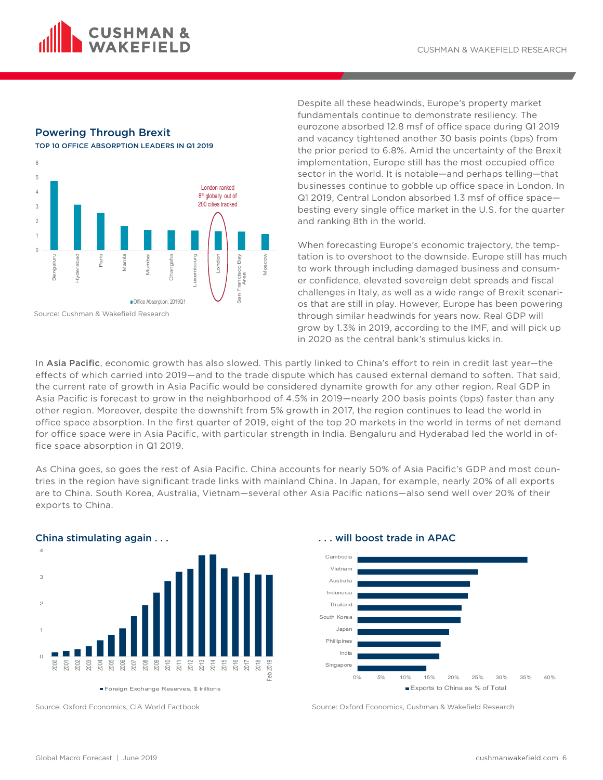

# Powering Through Brexit

TOP 10 OFFICE ABSORPTION LEADERS IN Q1 2019



Despite all these headwinds, Europe's property market fundamentals continue to demonstrate resiliency. The eurozone absorbed 12.8 msf of office space during Q1 2019 and vacancy tightened another 30 basis points (bps) from the prior period to 6.8%. Amid the uncertainty of the Brexit implementation, Europe still has the most occupied office sector in the world. It is notable—and perhaps telling—that businesses continue to gobble up office space in London. In Q1 2019, Central London absorbed 1.3 msf of office space besting every single office market in the U.S. for the quarter and ranking 8th in the world.

When forecasting Europe's economic trajectory, the temptation is to overshoot to the downside. Europe still has much to work through including damaged business and consumer confidence, elevated sovereign debt spreads and fiscal challenges in Italy, as well as a wide range of Brexit scenarios that are still in play. However, Europe has been powering through similar headwinds for years now. Real GDP will grow by 1.3% in 2019, according to the IMF, and will pick up in 2020 as the central bank's stimulus kicks in.

In Asia Pacific, economic growth has also slowed. This partly linked to China's effort to rein in credit last year-the effects of which carried into 2019—and to the trade dispute which has caused external demand to soften. That said, the current rate of growth in Asia Pacific would be considered dynamite growth for any other region. Real GDP in Asia Pacific is forecast to grow in the neighborhood of 4.5% in 2019—nearly 200 basis points (bps) faster than any other region. Moreover, despite the downshift from 5% growth in 2017, the region continues to lead the world in office space absorption. In the first quarter of 2019, eight of the top 20 markets in the world in terms of net demand for office space were in Asia Pacific, with particular strength in India. Bengaluru and Hyderabad led the world in office space absorption in Q1 2019.

As China goes, so goes the rest of Asia Pacific. China accounts for nearly 50% of Asia Pacific's GDP and most countries in the region have significant trade links with mainland China. In Japan, for example, nearly 20% of all exports are to China. South Korea, Australia, Vietnam—several other Asia Pacific nations—also send well over 20% of their exports to China.



Source: Oxford Economics, CIA World Factbook



Source: Oxford Economics, Cushman & Wakefield Research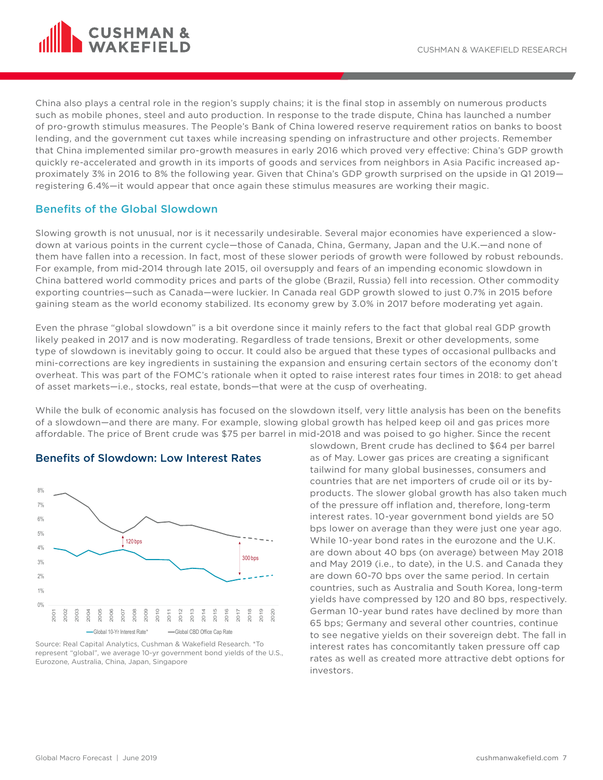

China also plays a central role in the region's supply chains; it is the final stop in assembly on numerous products such as mobile phones, steel and auto production. In response to the trade dispute, China has launched a number of pro-growth stimulus measures. The People's Bank of China lowered reserve requirement ratios on banks to boost lending, and the government cut taxes while increasing spending on infrastructure and other projects. Remember that China implemented similar pro-growth measures in early 2016 which proved very effective: China's GDP growth quickly re-accelerated and growth in its imports of goods and services from neighbors in Asia Pacific increased approximately 3% in 2016 to 8% the following year. Given that China's GDP growth surprised on the upside in Q1 2019 registering 6.4%—it would appear that once again these stimulus measures are working their magic.

## Benefits of the Global Slowdown

Slowing growth is not unusual, nor is it necessarily undesirable. Several major economies have experienced a slowdown at various points in the current cycle—those of Canada, China, Germany, Japan and the U.K.—and none of them have fallen into a recession. In fact, most of these slower periods of growth were followed by robust rebounds. For example, from mid-2014 through late 2015, oil oversupply and fears of an impending economic slowdown in China battered world commodity prices and parts of the globe (Brazil, Russia) fell into recession. Other commodity exporting countries—such as Canada—were luckier. In Canada real GDP growth slowed to just 0.7% in 2015 before gaining steam as the world economy stabilized. Its economy grew by 3.0% in 2017 before moderating yet again.

Even the phrase "global slowdown" is a bit overdone since it mainly refers to the fact that global real GDP growth likely peaked in 2017 and is now moderating. Regardless of trade tensions, Brexit or other developments, some type of slowdown is inevitably going to occur. It could also be argued that these types of occasional pullbacks and mini-corrections are key ingredients in sustaining the expansion and ensuring certain sectors of the economy don't overheat. This was part of the FOMC's rationale when it opted to raise interest rates four times in 2018: to get ahead of asset markets—i.e., stocks, real estate, bonds—that were at the cusp of overheating.

While the bulk of economic analysis has focused on the slowdown itself, very little analysis has been on the benefits of a slowdown—and there are many. For example, slowing global growth has helped keep oil and gas prices more affordable. The price of Brent crude was \$75 per barrel in mid-2018 and was poised to go higher. Since the recent



#### Benefits of Slowdown: Low Interest Rates

Source: Real Capital Analytics, Cushman & Wakefield Research. \*To represent "global", we average 10-yr government bond yields of the U.S., Eurozone, Australia, China, Japan, Singapore

slowdown, Brent crude has declined to \$64 per barrel as of May. Lower gas prices are creating a significant tailwind for many global businesses, consumers and countries that are net importers of crude oil or its byproducts. The slower global growth has also taken much of the pressure off inflation and, therefore, long-term interest rates. 10-year government bond yields are 50 bps lower on average than they were just one year ago. While 10-year bond rates in the eurozone and the U.K. are down about 40 bps (on average) between May 2018 and May 2019 (i.e., to date), in the U.S. and Canada they are down 60-70 bps over the same period. In certain countries, such as Australia and South Korea, long-term yields have compressed by 120 and 80 bps, respectively. German 10-year bund rates have declined by more than 65 bps; Germany and several other countries, continue to see negative yields on their sovereign debt. The fall in interest rates has concomitantly taken pressure off cap rates as well as created more attractive debt options for investors.